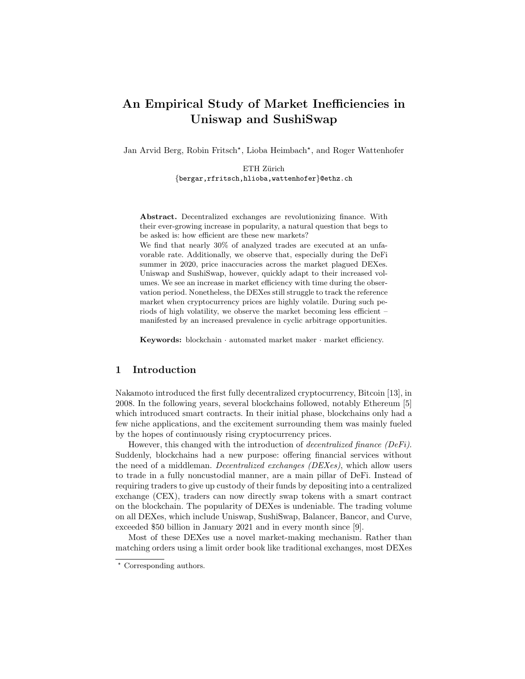# An Empirical Study of Market Inefficiencies in Uniswap and SushiSwap

Jan Arvid Berg, Robin Fritsch<sup>\*</sup>, Lioba Heimbach<sup>\*</sup>, and Roger Wattenhofer

ETH Zürich {bergar,rfritsch,hlioba,wattenhofer}@ethz.ch

Abstract. Decentralized exchanges are revolutionizing finance. With their ever-growing increase in popularity, a natural question that begs to be asked is: how efficient are these new markets?

We find that nearly 30% of analyzed trades are executed at an unfavorable rate. Additionally, we observe that, especially during the DeFi summer in 2020, price inaccuracies across the market plagued DEXes. Uniswap and SushiSwap, however, quickly adapt to their increased volumes. We see an increase in market efficiency with time during the observation period. Nonetheless, the DEXes still struggle to track the reference market when cryptocurrency prices are highly volatile. During such periods of high volatility, we observe the market becoming less efficient – manifested by an increased prevalence in cyclic arbitrage opportunities.

Keywords: blockchain · automated market maker · market efficiency.

## 1 Introduction

Nakamoto introduced the first fully decentralized cryptocurrency, Bitcoin [13], in 2008. In the following years, several blockchains followed, notably Ethereum [5] which introduced smart contracts. In their initial phase, blockchains only had a few niche applications, and the excitement surrounding them was mainly fueled by the hopes of continuously rising cryptocurrency prices.

However, this changed with the introduction of *decentralized finance* ( $DeFi$ ). Suddenly, blockchains had a new purpose: offering financial services without the need of a middleman. Decentralized exchanges (DEXes), which allow users to trade in a fully noncustodial manner, are a main pillar of DeFi. Instead of requiring traders to give up custody of their funds by depositing into a centralized exchange (CEX), traders can now directly swap tokens with a smart contract on the blockchain. The popularity of DEXes is undeniable. The trading volume on all DEXes, which include Uniswap, SushiSwap, Balancer, Bancor, and Curve, exceeded \$50 billion in January 2021 and in every month since [9].

Most of these DEXes use a novel market-making mechanism. Rather than matching orders using a limit order book like traditional exchanges, most DEXes

<sup>⋆</sup> Corresponding authors.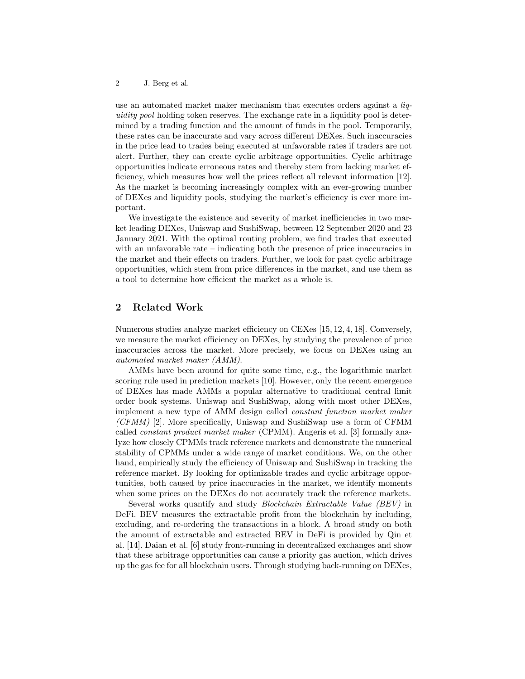use an automated market maker mechanism that executes orders against a liquidity pool holding token reserves. The exchange rate in a liquidity pool is determined by a trading function and the amount of funds in the pool. Temporarily, these rates can be inaccurate and vary across different DEXes. Such inaccuracies in the price lead to trades being executed at unfavorable rates if traders are not alert. Further, they can create cyclic arbitrage opportunities. Cyclic arbitrage opportunities indicate erroneous rates and thereby stem from lacking market efficiency, which measures how well the prices reflect all relevant information [12]. As the market is becoming increasingly complex with an ever-growing number of DEXes and liquidity pools, studying the market's efficiency is ever more important.

We investigate the existence and severity of market inefficiencies in two market leading DEXes, Uniswap and SushiSwap, between 12 September 2020 and 23 January 2021. With the optimal routing problem, we find trades that executed with an unfavorable rate – indicating both the presence of price inaccuracies in the market and their effects on traders. Further, we look for past cyclic arbitrage opportunities, which stem from price differences in the market, and use them as a tool to determine how efficient the market as a whole is.

## 2 Related Work

Numerous studies analyze market efficiency on CEXes [15, 12, 4, 18]. Conversely, we measure the market efficiency on DEXes, by studying the prevalence of price inaccuracies across the market. More precisely, we focus on DEXes using an automated market maker (AMM).

AMMs have been around for quite some time, e.g., the logarithmic market scoring rule used in prediction markets [10]. However, only the recent emergence of DEXes has made AMMs a popular alternative to traditional central limit order book systems. Uniswap and SushiSwap, along with most other DEXes, implement a new type of AMM design called constant function market maker  $(CFMM)$  [2]. More specifically, Uniswap and SushiSwap use a form of CFMM called constant product market maker (CPMM). Angeris et al. [3] formally analyze how closely CPMMs track reference markets and demonstrate the numerical stability of CPMMs under a wide range of market conditions. We, on the other hand, empirically study the efficiency of Uniswap and SushiSwap in tracking the reference market. By looking for optimizable trades and cyclic arbitrage opportunities, both caused by price inaccuracies in the market, we identify moments when some prices on the DEXes do not accurately track the reference markets.

Several works quantify and study Blockchain Extractable Value (BEV) in DeFi. BEV measures the extractable profit from the blockchain by including, excluding, and re-ordering the transactions in a block. A broad study on both the amount of extractable and extracted BEV in DeFi is provided by Qin et al. [14]. Daian et al. [6] study front-running in decentralized exchanges and show that these arbitrage opportunities can cause a priority gas auction, which drives up the gas fee for all blockchain users. Through studying back-running on DEXes,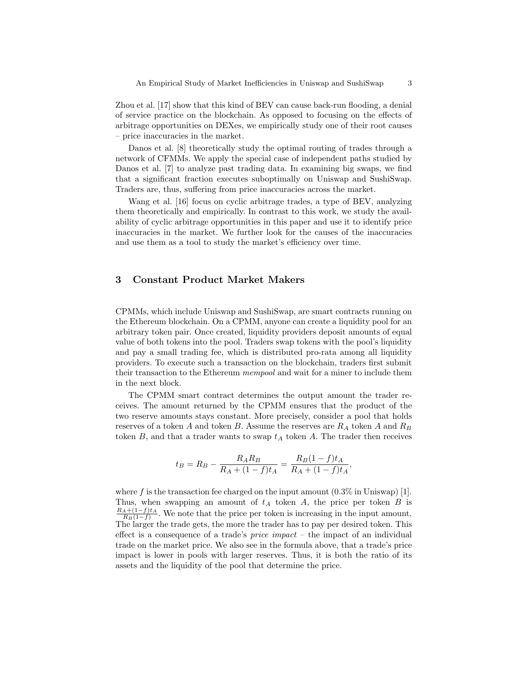Zhou et al. [17] show that this kind of BEV can cause back-run flooding, a denial of service practice on the blockchain. As opposed to focusing on the effects of arbitrage opportunities on DEXes, we empirically study one of their root causes – price inaccuracies in the market.

Danos et al. [8] theoretically study the optimal routing of trades through a network of CFMMs. We apply the special case of independent paths studied by Danos et al. [7] to analyze past trading data. In examining big swaps, we find that a significant fraction executes suboptimally on Uniswap and SushiSwap. Traders are, thus, suffering from price inaccuracies across the market.

Wang et al. [16] focus on cyclic arbitrage trades, a type of BEV, analyzing them theoretically and empirically. In contrast to this work, we study the availability of cyclic arbitrage opportunities in this paper and use it to identify price inaccuracies in the market. We further look for the causes of the inaccuracies and use them as a tool to study the market's efficiency over time.

## 3 Constant Product Market Makers

CPMMs, which include Uniswap and SushiSwap, are smart contracts running on the Ethereum blockchain. On a CPMM, anyone can create a liquidity pool for an arbitrary token pair. Once created, liquidity providers deposit amounts of equal value of both tokens into the pool. Traders swap tokens with the pool's liquidity and pay a small trading fee, which is distributed pro-rata among all liquidity providers. To execute such a transaction on the blockchain, traders first submit their transaction to the Ethereum mempool and wait for a miner to include them in the next block.

The CPMM smart contract determines the output amount the trader receives. The amount returned by the CPMM ensures that the product of the two reserve amounts stays constant. More precisely, consider a pool that holds reserves of a token A and token B. Assume the reserves are  $R_A$  token A and  $R_B$ token  $B$ , and that a trader wants to swap  $t_A$  token  $A$ . The trader then receives

$$
t_B = R_B - \frac{R_A R_B}{R_A + (1 - f)t_A} = \frac{R_B (1 - f)t_A}{R_A + (1 - f)t_A},
$$

where  $f$  is the transaction fee charged on the input amount  $(0.3\%$  in Uniswap) [1]. Thus, when swapping an amount of  $t_A$  token  $A$ , the price per token  $B$  is  $R_A+(1-f)t_A$  $\frac{A+(1-f)t_A}{R_B(1-f)}$ . We note that the price per token is increasing in the input amount. The larger the trade gets, the more the trader has to pay per desired token. This effect is a consequence of a trade's *price impact* – the impact of an individual trade on the market price. We also see in the formula above, that a trade's price impact is lower in pools with larger reserves. Thus, it is both the ratio of its assets and the liquidity of the pool that determine the price.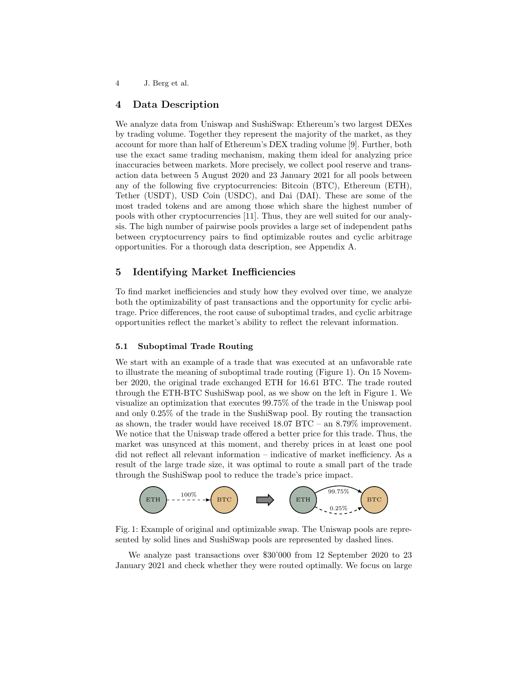#### 4 Data Description

We analyze data from Uniswap and SushiSwap: Ethereum's two largest DEXes by trading volume. Together they represent the majority of the market, as they account for more than half of Ethereum's DEX trading volume [9]. Further, both use the exact same trading mechanism, making them ideal for analyzing price inaccuracies between markets. More precisely, we collect pool reserve and transaction data between 5 August 2020 and 23 January 2021 for all pools between any of the following five cryptocurrencies: Bitcoin (BTC), Ethereum (ETH), Tether (USDT), USD Coin (USDC), and Dai (DAI). These are some of the most traded tokens and are among those which share the highest number of pools with other cryptocurrencies [11]. Thus, they are well suited for our analysis. The high number of pairwise pools provides a large set of independent paths between cryptocurrency pairs to find optimizable routes and cyclic arbitrage opportunities. For a thorough data description, see Appendix A.

#### 5 Identifying Market Inefficiencies

To find market inefficiencies and study how they evolved over time, we analyze both the optimizability of past transactions and the opportunity for cyclic arbitrage. Price differences, the root cause of suboptimal trades, and cyclic arbitrage opportunities reflect the market's ability to reflect the relevant information.

#### 5.1 Suboptimal Trade Routing

We start with an example of a trade that was executed at an unfavorable rate to illustrate the meaning of suboptimal trade routing (Figure 1). On 15 November 2020, the original trade exchanged ETH for 16.61 BTC. The trade routed through the ETH-BTC SushiSwap pool, as we show on the left in Figure 1. We visualize an optimization that executes 99.75% of the trade in the Uniswap pool and only 0.25% of the trade in the SushiSwap pool. By routing the transaction as shown, the trader would have received 18.07 BTC – an 8.79% improvement. We notice that the Uniswap trade offered a better price for this trade. Thus, the market was unsynced at this moment, and thereby prices in at least one pool did not reflect all relevant information – indicative of market inefficiency. As a result of the large trade size, it was optimal to route a small part of the trade through the SushiSwap pool to reduce the trade's price impact.



Fig. 1: Example of original and optimizable swap. The Uniswap pools are represented by solid lines and SushiSwap pools are represented by dashed lines.

We analyze past transactions over \$30'000 from 12 September 2020 to 23 January 2021 and check whether they were routed optimally. We focus on large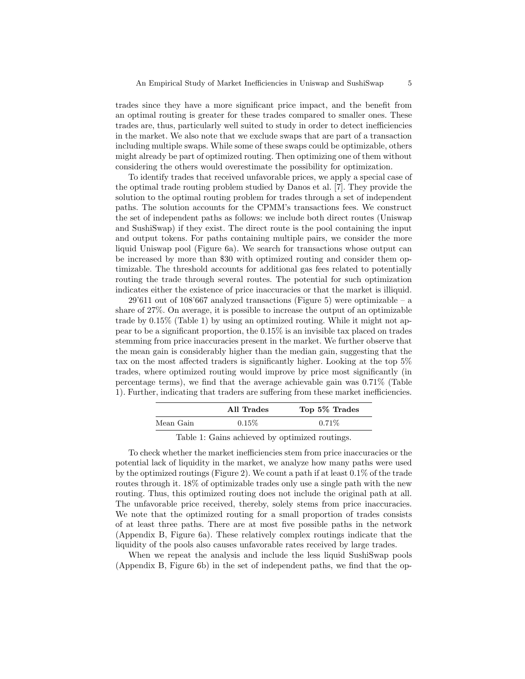trades since they have a more significant price impact, and the benefit from an optimal routing is greater for these trades compared to smaller ones. These trades are, thus, particularly well suited to study in order to detect inefficiencies in the market. We also note that we exclude swaps that are part of a transaction including multiple swaps. While some of these swaps could be optimizable, others might already be part of optimized routing. Then optimizing one of them without considering the others would overestimate the possibility for optimization.

To identify trades that received unfavorable prices, we apply a special case of the optimal trade routing problem studied by Danos et al. [7]. They provide the solution to the optimal routing problem for trades through a set of independent paths. The solution accounts for the CPMM's transactions fees. We construct the set of independent paths as follows: we include both direct routes (Uniswap and SushiSwap) if they exist. The direct route is the pool containing the input and output tokens. For paths containing multiple pairs, we consider the more liquid Uniswap pool (Figure 6a). We search for transactions whose output can be increased by more than \$30 with optimized routing and consider them optimizable. The threshold accounts for additional gas fees related to potentially routing the trade through several routes. The potential for such optimization indicates either the existence of price inaccuracies or that the market is illiquid.

 $29'611$  out of 108'667 analyzed transactions (Figure 5) were optimizable – a share of 27%. On average, it is possible to increase the output of an optimizable trade by 0.15% (Table 1) by using an optimized routing. While it might not appear to be a significant proportion, the 0.15% is an invisible tax placed on trades stemming from price inaccuracies present in the market. We further observe that the mean gain is considerably higher than the median gain, suggesting that the tax on the most affected traders is significantly higher. Looking at the top 5% trades, where optimized routing would improve by price most significantly (in percentage terms), we find that the average achievable gain was 0.71% (Table 1). Further, indicating that traders are suffering from these market inefficiencies.

|           | All Trades | Top 5% Trades |  |
|-----------|------------|---------------|--|
| Mean Gain | 0.15%      | $0.71\%$      |  |
|           |            |               |  |

Table 1: Gains achieved by optimized routings.

To check whether the market inefficiencies stem from price inaccuracies or the potential lack of liquidity in the market, we analyze how many paths were used by the optimized routings (Figure 2). We count a path if at least 0.1% of the trade routes through it. 18% of optimizable trades only use a single path with the new routing. Thus, this optimized routing does not include the original path at all. The unfavorable price received, thereby, solely stems from price inaccuracies. We note that the optimized routing for a small proportion of trades consists of at least three paths. There are at most five possible paths in the network (Appendix B, Figure 6a). These relatively complex routings indicate that the liquidity of the pools also causes unfavorable rates received by large trades.

When we repeat the analysis and include the less liquid SushiSwap pools (Appendix B, Figure 6b) in the set of independent paths, we find that the op-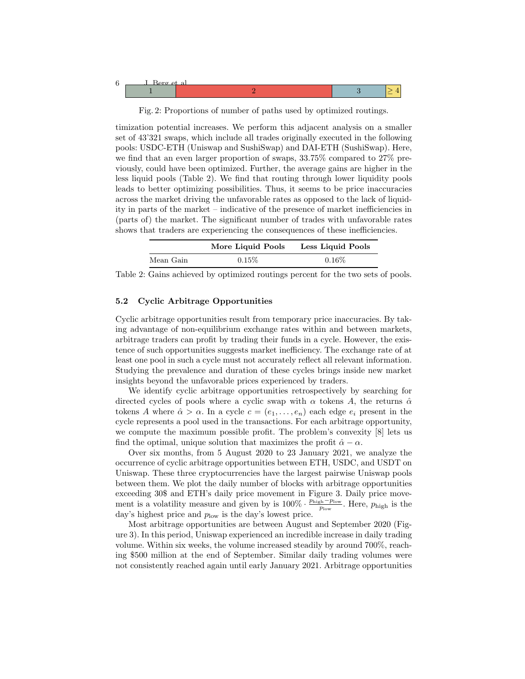

Fig. 2: Proportions of number of paths used by optimized routings.

timization potential increases. We perform this adjacent analysis on a smaller set of 43'321 swaps, which include all trades originally executed in the following pools: USDC-ETH (Uniswap and SushiSwap) and DAI-ETH (SushiSwap). Here, we find that an even larger proportion of swaps, 33.75% compared to 27% previously, could have been optimized. Further, the average gains are higher in the less liquid pools (Table 2). We find that routing through lower liquidity pools leads to better optimizing possibilities. Thus, it seems to be price inaccuracies across the market driving the unfavorable rates as opposed to the lack of liquidity in parts of the market – indicative of the presence of market inefficiencies in (parts of) the market. The significant number of trades with unfavorable rates shows that traders are experiencing the consequences of these inefficiencies.

|           | More Liquid Pools | Less Liquid Pools |  |
|-----------|-------------------|-------------------|--|
| Mean Gain | 0.15%             | $0.16\%$          |  |

Table 2: Gains achieved by optimized routings percent for the two sets of pools.

## 5.2 Cyclic Arbitrage Opportunities

Cyclic arbitrage opportunities result from temporary price inaccuracies. By taking advantage of non-equilibrium exchange rates within and between markets, arbitrage traders can profit by trading their funds in a cycle. However, the existence of such opportunities suggests market inefficiency. The exchange rate of at least one pool in such a cycle must not accurately reflect all relevant information. Studying the prevalence and duration of these cycles brings inside new market insights beyond the unfavorable prices experienced by traders.

We identify cyclic arbitrage opportunities retrospectively by searching for directed cycles of pools where a cyclic swap with  $\alpha$  tokens A, the returns  $\hat{\alpha}$ tokens A where  $\hat{\alpha} > \alpha$ . In a cycle  $c = (e_1, \ldots, e_n)$  each edge  $e_i$  present in the cycle represents a pool used in the transactions. For each arbitrage opportunity, we compute the maximum possible profit. The problem's convexity [8] lets us find the optimal, unique solution that maximizes the profit  $\hat{\alpha} - \alpha$ .

Over six months, from 5 August 2020 to 23 January 2021, we analyze the occurrence of cyclic arbitrage opportunities between ETH, USDC, and USDT on Uniswap. These three cryptocurrencies have the largest pairwise Uniswap pools between them. We plot the daily number of blocks with arbitrage opportunities exceeding 30\$ and ETH's daily price movement in Figure 3. Daily price movement is a volatility measure and given by is  $100\% \cdot \frac{p_{\text{high}} - p_{\text{low}}}{p_{\text{low}}}$ . Here,  $p_{\text{high}}$  is the plow day's highest price and  $p_{\text{low}}$  is the day's lowest price.

Most arbitrage opportunities are between August and September 2020 (Figure 3). In this period, Uniswap experienced an incredible increase in daily trading volume. Within six weeks, the volume increased steadily by around 700%, reaching \$500 million at the end of September. Similar daily trading volumes were not consistently reached again until early January 2021. Arbitrage opportunities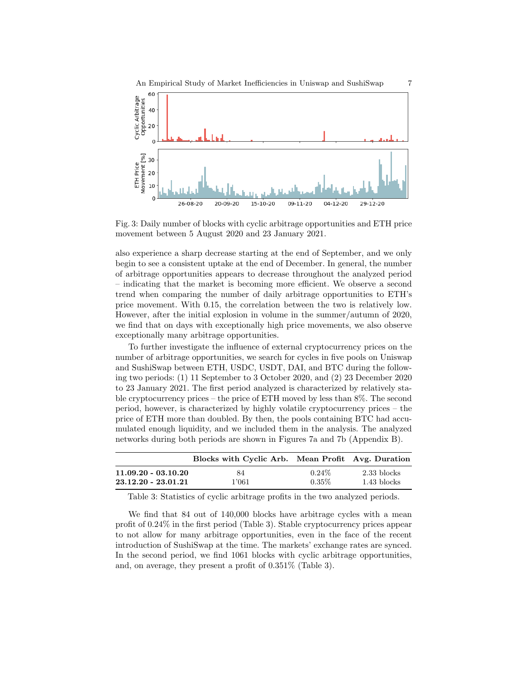

Fig. 3: Daily number of blocks with cyclic arbitrage opportunities and ETH price movement between 5 August 2020 and 23 January 2021.

also experience a sharp decrease starting at the end of September, and we only begin to see a consistent uptake at the end of December. In general, the number of arbitrage opportunities appears to decrease throughout the analyzed period – indicating that the market is becoming more efficient. We observe a second trend when comparing the number of daily arbitrage opportunities to ETH's price movement. With 0.15, the correlation between the two is relatively low. However, after the initial explosion in volume in the summer/autumn of 2020, we find that on days with exceptionally high price movements, we also observe exceptionally many arbitrage opportunities.

To further investigate the influence of external cryptocurrency prices on the number of arbitrage opportunities, we search for cycles in five pools on Uniswap and SushiSwap between ETH, USDC, USDT, DAI, and BTC during the following two periods: (1) 11 September to 3 October 2020, and (2) 23 December 2020 to 23 January 2021. The first period analyzed is characterized by relatively stable cryptocurrency prices – the price of ETH moved by less than 8%. The second period, however, is characterized by highly volatile cryptocurrency prices – the price of ETH more than doubled. By then, the pools containing BTC had accumulated enough liquidity, and we included them in the analysis. The analyzed networks during both periods are shown in Figures 7a and 7b (Appendix B).

|                       | Blocks with Cyclic Arb. Mean Profit Avg. Duration |          |               |
|-----------------------|---------------------------------------------------|----------|---------------|
| $11.09.20 - 03.10.20$ | 84                                                | $0.24\%$ | 2.33 blocks   |
| $23.12.20 - 23.01.21$ | 1'061                                             | $0.35\%$ | $1.43$ blocks |

Table 3: Statistics of cyclic arbitrage profits in the two analyzed periods.

We find that 84 out of 140,000 blocks have arbitrage cycles with a mean profit of 0.24% in the first period (Table 3). Stable cryptocurrency prices appear to not allow for many arbitrage opportunities, even in the face of the recent introduction of SushiSwap at the time. The markets' exchange rates are synced. In the second period, we find 1061 blocks with cyclic arbitrage opportunities, and, on average, they present a profit of 0.351% (Table 3).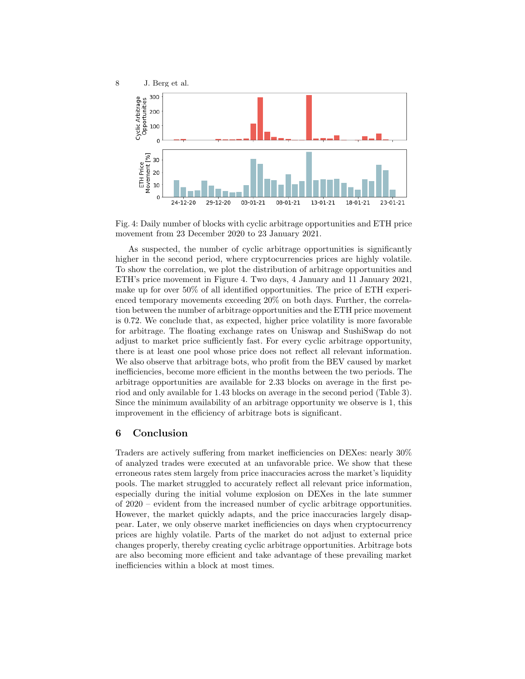

Fig. 4: Daily number of blocks with cyclic arbitrage opportunities and ETH price movement from 23 December 2020 to 23 January 2021.

As suspected, the number of cyclic arbitrage opportunities is significantly higher in the second period, where cryptocurrencies prices are highly volatile. To show the correlation, we plot the distribution of arbitrage opportunities and ETH's price movement in Figure 4. Two days, 4 January and 11 January 2021, make up for over 50% of all identified opportunities. The price of ETH experienced temporary movements exceeding 20% on both days. Further, the correlation between the number of arbitrage opportunities and the ETH price movement is 0.72. We conclude that, as expected, higher price volatility is more favorable for arbitrage. The floating exchange rates on Uniswap and SushiSwap do not adjust to market price sufficiently fast. For every cyclic arbitrage opportunity, there is at least one pool whose price does not reflect all relevant information. We also observe that arbitrage bots, who profit from the BEV caused by market inefficiencies, become more efficient in the months between the two periods. The arbitrage opportunities are available for 2.33 blocks on average in the first period and only available for 1.43 blocks on average in the second period (Table 3). Since the minimum availability of an arbitrage opportunity we observe is 1, this improvement in the efficiency of arbitrage bots is significant.

## 6 Conclusion

Traders are actively suffering from market inefficiencies on DEXes: nearly 30% of analyzed trades were executed at an unfavorable price. We show that these erroneous rates stem largely from price inaccuracies across the market's liquidity pools. The market struggled to accurately reflect all relevant price information, especially during the initial volume explosion on DEXes in the late summer of 2020 – evident from the increased number of cyclic arbitrage opportunities. However, the market quickly adapts, and the price inaccuracies largely disappear. Later, we only observe market inefficiencies on days when cryptocurrency prices are highly volatile. Parts of the market do not adjust to external price changes properly, thereby creating cyclic arbitrage opportunities. Arbitrage bots are also becoming more efficient and take advantage of these prevailing market inefficiencies within a block at most times.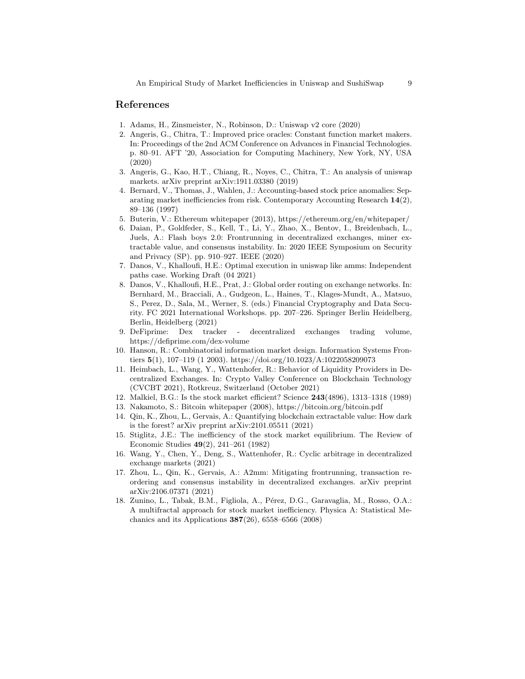#### References

- 1. Adams, H., Zinsmeister, N., Robinson, D.: Uniswap v2 core (2020)
- 2. Angeris, G., Chitra, T.: Improved price oracles: Constant function market makers. In: Proceedings of the 2nd ACM Conference on Advances in Financial Technologies. p. 80–91. AFT '20, Association for Computing Machinery, New York, NY, USA (2020)
- 3. Angeris, G., Kao, H.T., Chiang, R., Noyes, C., Chitra, T.: An analysis of uniswap markets. arXiv preprint arXiv:1911.03380 (2019)
- 4. Bernard, V., Thomas, J., Wahlen, J.: Accounting-based stock price anomalies: Separating market inefficiencies from risk. Contemporary Accounting Research  $14(2)$ , 89–136 (1997)
- 5. Buterin, V.: Ethereum whitepaper (2013), https://ethereum.org/en/whitepaper/
- 6. Daian, P., Goldfeder, S., Kell, T., Li, Y., Zhao, X., Bentov, I., Breidenbach, L., Juels, A.: Flash boys 2.0: Frontrunning in decentralized exchanges, miner extractable value, and consensus instability. In: 2020 IEEE Symposium on Security and Privacy (SP). pp. 910–927. IEEE (2020)
- 7. Danos, V., Khalloufi, H.E.: Optimal execution in uniswap like amms: Independent paths case. Working Draft (04 2021)
- 8. Danos, V., Khalloufi, H.E., Prat, J.: Global order routing on exchange networks. In: Bernhard, M., Bracciali, A., Gudgeon, L., Haines, T., Klages-Mundt, A., Matsuo, S., Perez, D., Sala, M., Werner, S. (eds.) Financial Cryptography and Data Security. FC 2021 International Workshops. pp. 207–226. Springer Berlin Heidelberg, Berlin, Heidelberg (2021)
- 9. DeFiprime: Dex tracker decentralized exchanges trading volume, https://defiprime.com/dex-volume
- 10. Hanson, R.: Combinatorial information market design. Information Systems Frontiers 5(1), 107–119 (1 2003). https://doi.org/10.1023/A:1022058209073
- 11. Heimbach, L., Wang, Y., Wattenhofer, R.: Behavior of Liquidity Providers in Decentralized Exchanges. In: Crypto Valley Conference on Blockchain Technology (CVCBT 2021), Rotkreuz, Switzerland (October 2021)
- 12. Malkiel, B.G.: Is the stock market efficient? Science 243(4896), 1313–1318 (1989)
- 13. Nakamoto, S.: Bitcoin whitepaper (2008), https://bitcoin.org/bitcoin.pdf
- 14. Qin, K., Zhou, L., Gervais, A.: Quantifying blockchain extractable value: How dark is the forest? arXiv preprint arXiv:2101.05511 (2021)
- 15. Stiglitz, J.E.: The inefficiency of the stock market equilibrium. The Review of Economic Studies 49(2), 241–261 (1982)
- 16. Wang, Y., Chen, Y., Deng, S., Wattenhofer, R.: Cyclic arbitrage in decentralized exchange markets (2021)
- 17. Zhou, L., Qin, K., Gervais, A.: A2mm: Mitigating frontrunning, transaction reordering and consensus instability in decentralized exchanges. arXiv preprint arXiv:2106.07371 (2021)
- 18. Zunino, L., Tabak, B.M., Figliola, A., Pérez, D.G., Garavaglia, M., Rosso, O.A.: A multifractal approach for stock market inefficiency. Physica A: Statistical Mechanics and its Applications 387(26), 6558–6566 (2008)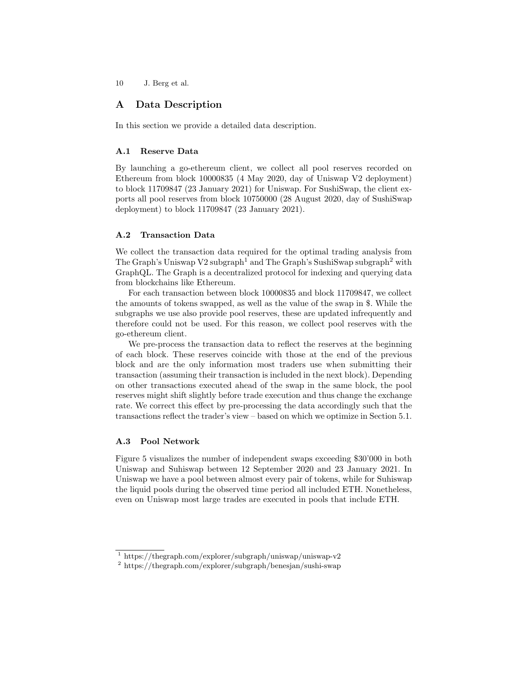## A Data Description

In this section we provide a detailed data description.

#### A.1 Reserve Data

By launching a go-ethereum client, we collect all pool reserves recorded on Ethereum from block 10000835 (4 May 2020, day of Uniswap V2 deployment) to block 11709847 (23 January 2021) for Uniswap. For SushiSwap, the client exports all pool reserves from block 10750000 (28 August 2020, day of SushiSwap deployment) to block 11709847 (23 January 2021).

#### A.2 Transaction Data

We collect the transaction data required for the optimal trading analysis from The Graph's Uniswap V2 subgraph<sup>1</sup> and The Graph's SushiSwap subgraph<sup>2</sup> with GraphQL. The Graph is a decentralized protocol for indexing and querying data from blockchains like Ethereum.

For each transaction between block 10000835 and block 11709847, we collect the amounts of tokens swapped, as well as the value of the swap in \$. While the subgraphs we use also provide pool reserves, these are updated infrequently and therefore could not be used. For this reason, we collect pool reserves with the go-ethereum client.

We pre-process the transaction data to reflect the reserves at the beginning of each block. These reserves coincide with those at the end of the previous block and are the only information most traders use when submitting their transaction (assuming their transaction is included in the next block). Depending on other transactions executed ahead of the swap in the same block, the pool reserves might shift slightly before trade execution and thus change the exchange rate. We correct this effect by pre-processing the data accordingly such that the transactions reflect the trader's view – based on which we optimize in Section 5.1.

#### A.3 Pool Network

Figure 5 visualizes the number of independent swaps exceeding \$30'000 in both Uniswap and Suhiswap between 12 September 2020 and 23 January 2021. In Uniswap we have a pool between almost every pair of tokens, while for Suhiswap the liquid pools during the observed time period all included ETH. Nonetheless, even on Uniswap most large trades are executed in pools that include ETH.

<sup>1</sup> https://thegraph.com/explorer/subgraph/uniswap/uniswap-v2

<sup>2</sup> https://thegraph.com/explorer/subgraph/benesjan/sushi-swap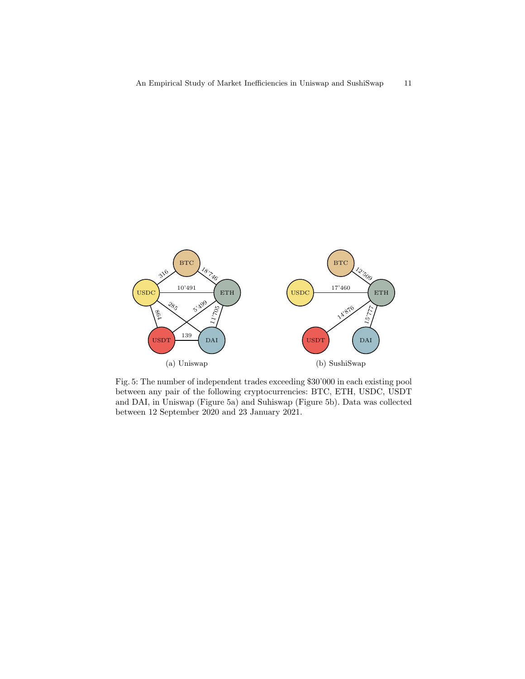

Fig. 5: The number of independent trades exceeding \$30'000 in each existing pool between any pair of the following cryptocurrencies: BTC, ETH, USDC, USDT and DAI, in Uniswap (Figure 5a) and Suhiswap (Figure 5b). Data was collected between 12 September 2020 and 23 January 2021.